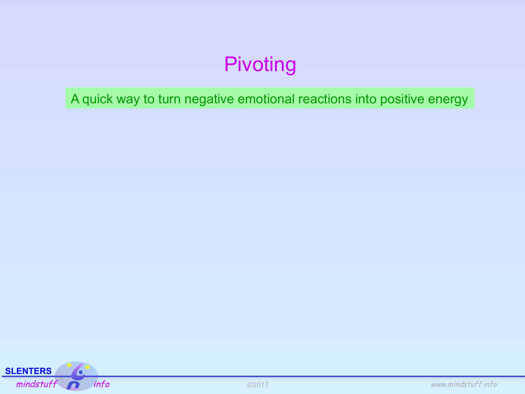A quick way to turn negative emotional reactions into positive energy

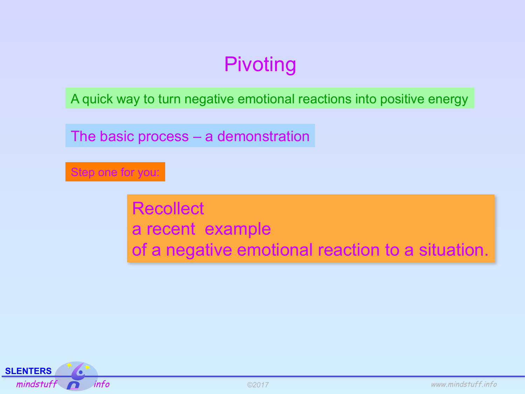A quick way to turn negative emotional reactions into positive energy

The basic process – a demonstration

#### Step one for you:

**Recollect** a recent example of a negative emotional reaction to a situation.

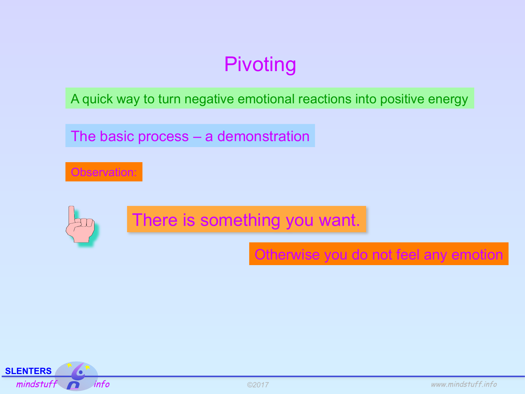A quick way to turn negative emotional reactions into positive energy

The basic process – a demonstration

Observation:

There is something you want.

Otherwise you do not feel any emotion

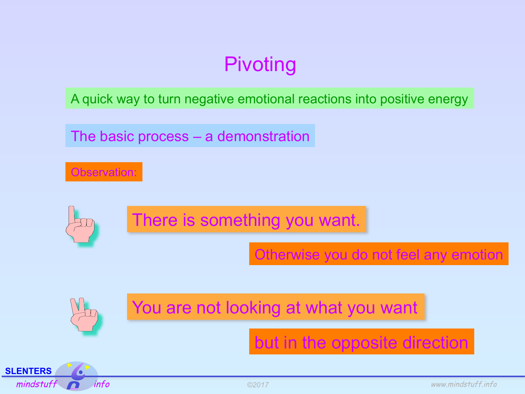A quick way to turn negative emotional reactions into positive energy

The basic process – a demonstration

There is something you want.

Otherwise you do not feel any emotion

You are not looking at what you want

but in the opposite direction



Observation: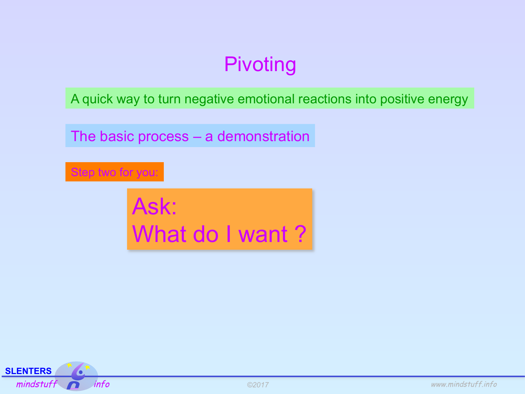A quick way to turn negative emotional reactions into positive energy

The basic process – a demonstration

#### Step two for you:

Ask: What do I want ?

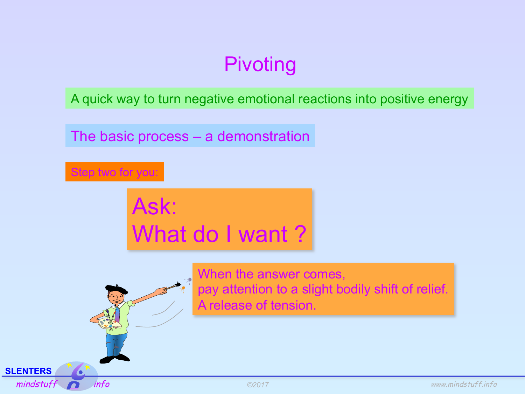A quick way to turn negative emotional reactions into positive energy

The basic process – a demonstration



Ask: What do I want ?



**SLENTERS** 

When the answer comes, pay attention to a slight bodily shift of relief. A release of tension.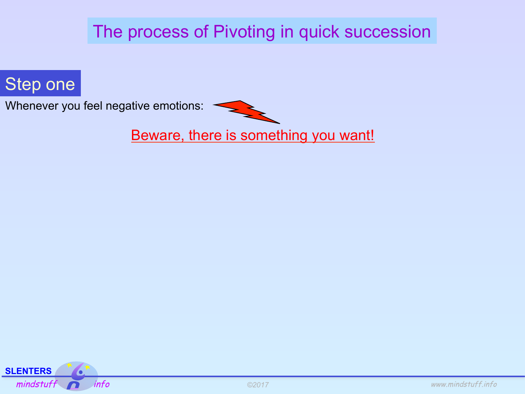## The process of Pivoting in quick succession



Whenever you feel negative emotions:



Beware, there is something you want!

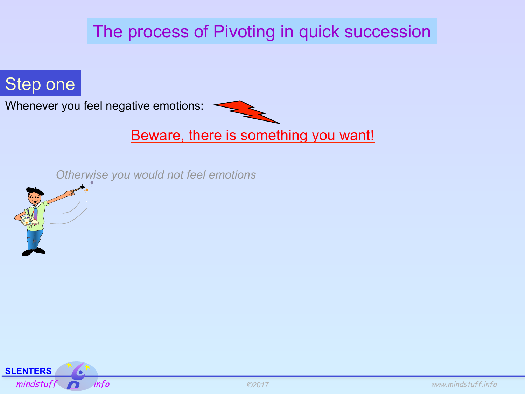## The process of Pivoting in quick succession

## Step one

Whenever you feel negative emotions:



#### Beware, there is something you want!

*Otherwise you would not feel emotions*



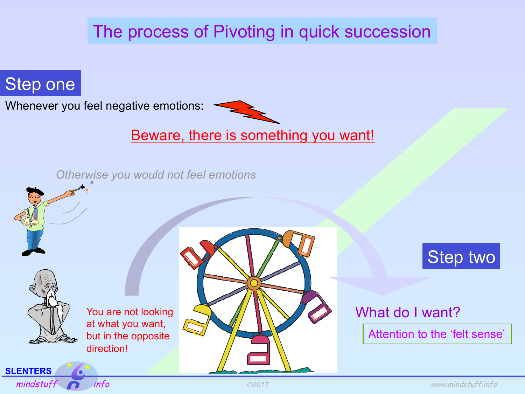## The process of Pivoting in quick succession

## Step one

Whenever you feel negative emotions:



#### Beware, there is something you want!

*Otherwise you would not feel emotions*





#### What do I want?

Attention to the 'felt sense'